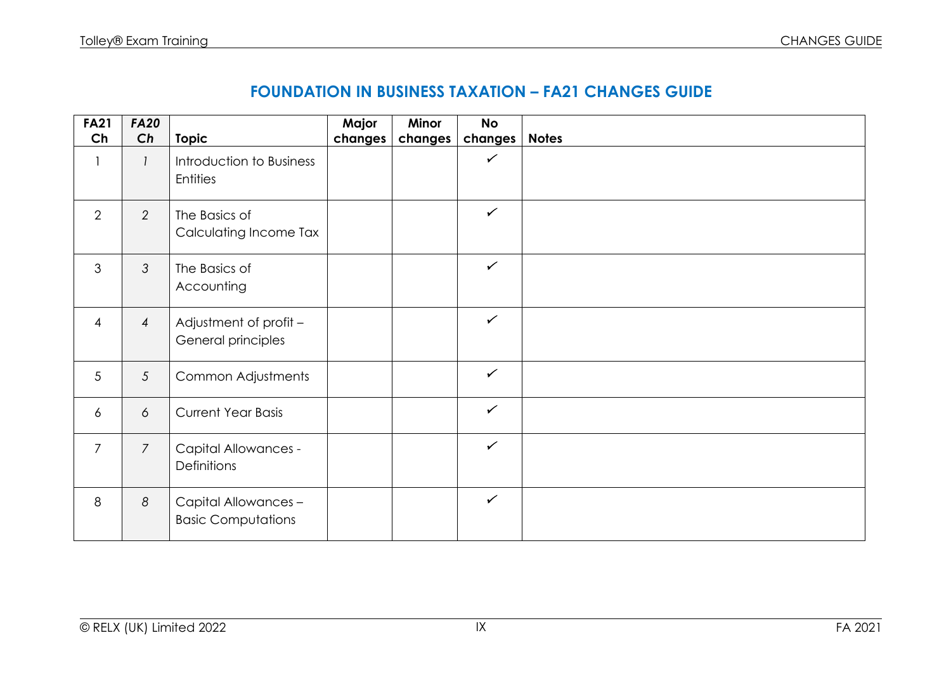| <b>FA21</b>     | <b>FA20</b>    |                                                   | Major   | Minor   | <b>No</b>    |              |
|-----------------|----------------|---------------------------------------------------|---------|---------|--------------|--------------|
| Ch              | Ch             | <b>Topic</b>                                      | changes | changes | changes      | <b>Notes</b> |
|                 |                | Introduction to Business<br><b>Entities</b>       |         |         | $\checkmark$ |              |
| $\overline{2}$  | 2              | The Basics of<br>Calculating Income Tax           |         |         | $\checkmark$ |              |
| 3               | $\mathfrak{Z}$ | The Basics of<br>Accounting                       |         |         | $\checkmark$ |              |
| $\overline{4}$  | $\overline{4}$ | Adjustment of profit -<br>General principles      |         |         | $\checkmark$ |              |
| $5\overline{)}$ | $\mathfrak{S}$ | Common Adjustments                                |         |         | $\checkmark$ |              |
| $\overline{6}$  | 6              | <b>Current Year Basis</b>                         |         |         | $\checkmark$ |              |
| $\overline{7}$  | $\overline{7}$ | <b>Capital Allowances -</b><br>Definitions        |         |         | $\checkmark$ |              |
| 8               | 8              | Capital Allowances -<br><b>Basic Computations</b> |         |         | $\checkmark$ |              |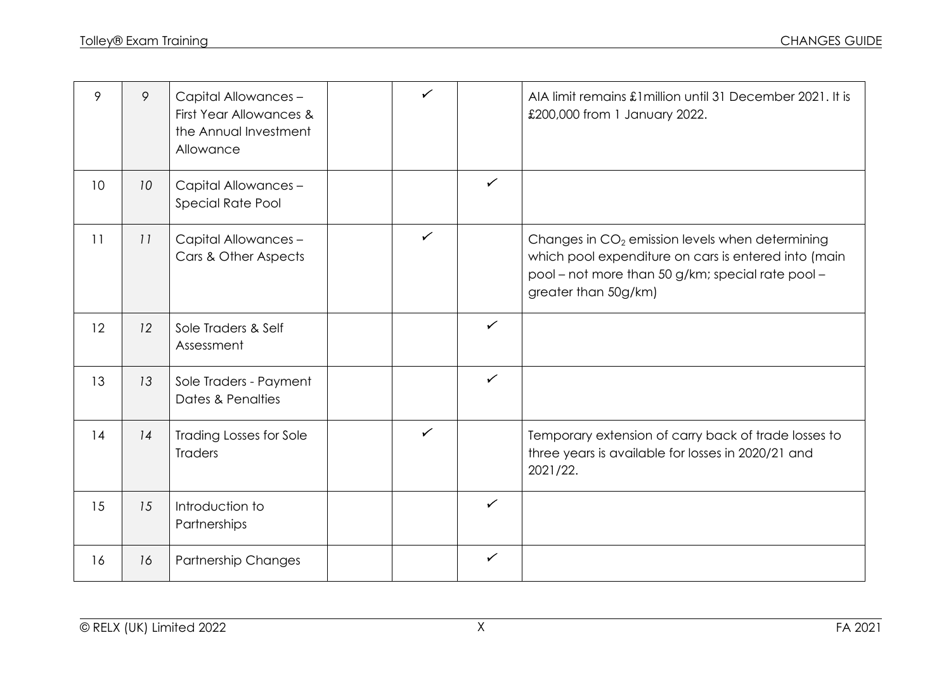| 9               | 9  | Capital Allowances -<br>First Year Allowances &<br>the Annual Investment<br>Allowance | $\checkmark$ |              | AIA limit remains £1 million until 31 December 2021. It is<br>£200,000 from 1 January 2022.                                                                                            |
|-----------------|----|---------------------------------------------------------------------------------------|--------------|--------------|----------------------------------------------------------------------------------------------------------------------------------------------------------------------------------------|
| 10 <sup>°</sup> | 10 | Capital Allowances -<br>Special Rate Pool                                             |              | $\checkmark$ |                                                                                                                                                                                        |
| 11              | 11 | Capital Allowances -<br>Cars & Other Aspects                                          | $\checkmark$ |              | Changes in $CO2$ emission levels when determining<br>which pool expenditure on cars is entered into (main<br>pool - not more than 50 g/km; special rate pool -<br>greater than 50g/km) |
| 12              | 12 | Sole Traders & Self<br>Assessment                                                     |              | $\checkmark$ |                                                                                                                                                                                        |
| 13              | 13 | Sole Traders - Payment<br>Dates & Penalties                                           |              | $\checkmark$ |                                                                                                                                                                                        |
| 14              | 14 | <b>Trading Losses for Sole</b><br><b>Traders</b>                                      | $\checkmark$ |              | Temporary extension of carry back of trade losses to<br>three years is available for losses in 2020/21 and<br>2021/22.                                                                 |
| 15              | 15 | Introduction to<br>Partnerships                                                       |              | $\checkmark$ |                                                                                                                                                                                        |
| 16              | 16 | <b>Partnership Changes</b>                                                            |              | $\checkmark$ |                                                                                                                                                                                        |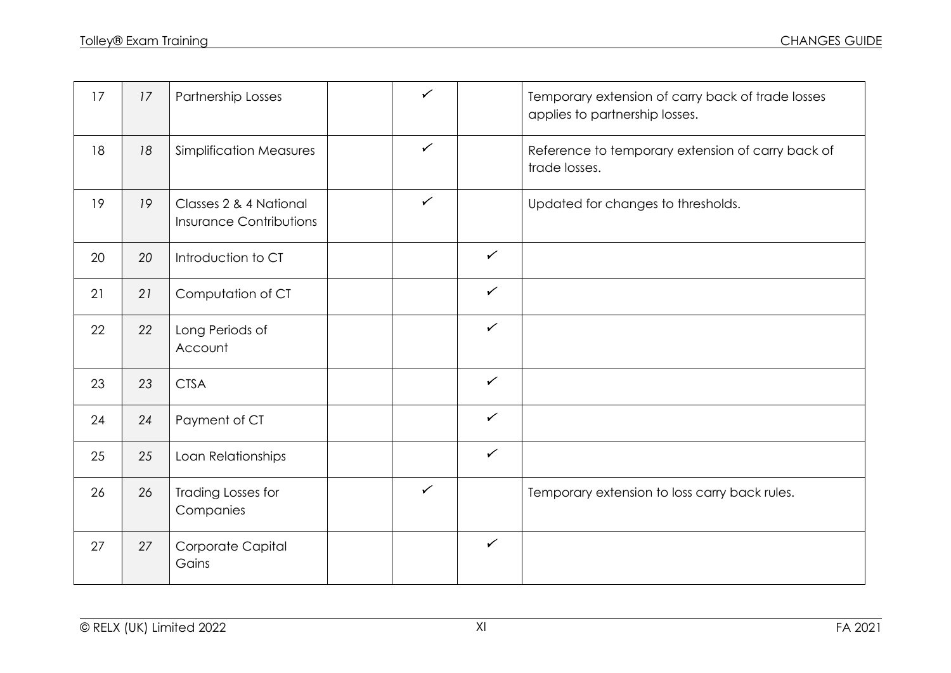| 17 | 17 | Partnership Losses                                       | $\checkmark$ |              | Temporary extension of carry back of trade losses<br>applies to partnership losses. |
|----|----|----------------------------------------------------------|--------------|--------------|-------------------------------------------------------------------------------------|
| 18 | 18 | <b>Simplification Measures</b>                           | $\checkmark$ |              | Reference to temporary extension of carry back of<br>trade losses.                  |
| 19 | 19 | Classes 2 & 4 National<br><b>Insurance Contributions</b> | $\checkmark$ |              | Updated for changes to thresholds.                                                  |
| 20 | 20 | Introduction to CT                                       |              | $\checkmark$ |                                                                                     |
| 21 | 21 | Computation of CT                                        |              | $\checkmark$ |                                                                                     |
| 22 | 22 | Long Periods of<br>Account                               |              | $\checkmark$ |                                                                                     |
| 23 | 23 | <b>CTSA</b>                                              |              | $\checkmark$ |                                                                                     |
| 24 | 24 | Payment of CT                                            |              | $\checkmark$ |                                                                                     |
| 25 | 25 | Loan Relationships                                       |              | $\checkmark$ |                                                                                     |
| 26 | 26 | Trading Losses for<br>Companies                          | $\checkmark$ |              | Temporary extension to loss carry back rules.                                       |
| 27 | 27 | Corporate Capital<br>Gains                               |              | $\checkmark$ |                                                                                     |